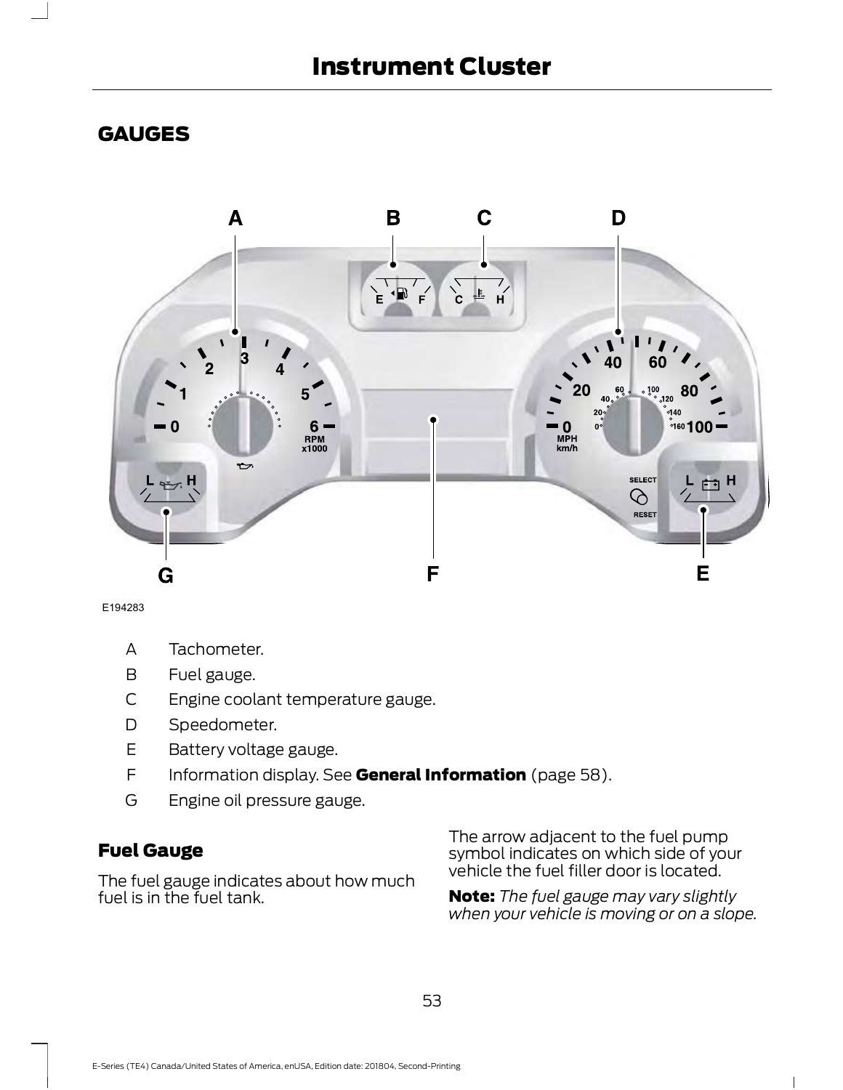# Instrument Cluster

# GAUGES



E194283

- A Tachometer.
- B Fuel gauge.
- C Engine coolant temperature gauge.
- D Speedometer.
- E Battery voltage gauge.
- F Information display. See General Information (page 58).
- G Engine oil pressure gauge.

# Fuel Gauge

The fuel gauge indicates about how much fuel is in the fuel tank.

The arrow adjacent to the fuel pump symbol indicates on which side of your vehicle the fuel filler door is located.

Note: The fuel gauge may vary slightly when your vehicle is moving or on a slope.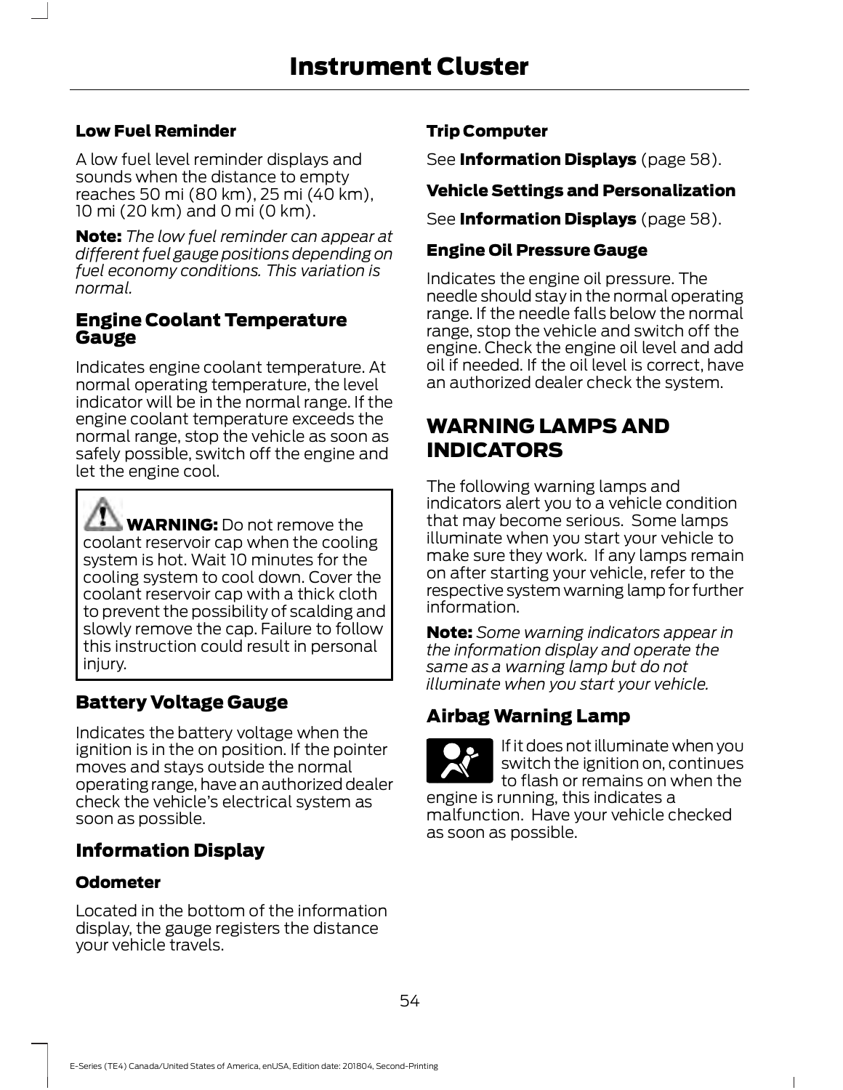#### Low Fuel Reminder

A low fuel level reminder displays and sounds when the distance to empty reaches 50 mi (80 km),25 mi (40 km), 10 mi (20 km) and 0 mi (0 km).

**Note:** The low fuel reminder can appear at different fuel gauge positions depending on fuel economy conditions. This variation is normal.

#### Engine Coolant Temperature Gauge

Indicates engine coolant temperature. At normal operating temperature, the level indicator will be in the normal range. If the engine coolant temperature exceeds the normal range, stop the vehicle as soon as safely possible, switch off the engine and let the engine cool.

**WARNING:** Do not remove the coolant reservoir cap when the cooling system is hot. Wait 10 minutes for the cooling system to cool down. Cover the coolant reservoir cap with a thick cloth to prevent the possibility of scalding and slowly remove the cap. Failure to follow this instruction could result in personal injury.

# Battery Voltage Gauge

Indicates the battery voltage when the ignition is in the on position. If the pointer moves and stays outside the normal operating range, have an authorized dealer check the vehicle's electrical system as soon as possible.

# Information Display

#### Odometer

Located in the bottom of the information display, the gauge registers the distance your vehicle travels.

#### Trip Computer

See **Information Displays** (page 58).

#### Vehicle Settings and Personalization

See **Information Displays** (page 58).

#### Engine Oil Pressure Gauge

Indicates the engine oil pressure. The needle should stay in the normal operating range. If the needle falls below the normal range, stop the vehicle and switch off the engine. Check the engine oil level and add oil if needed. If the oil level is correct, have an authorized dealer check the system.

# WARNING LAMPS AND INDICATORS

The following warning lamps and indicators alert you to a vehicle condition that may become serious. Some lamps illuminate when you start your vehicle to make sure they work. If any lamps remain on after starting your vehicle, refer to the respective system warning lamp for further information.

**Note:** Some warning indicators appear in the information display and operate the same as a warning lamp but do not illuminate when you start your vehicle.

# Airbag Warning Lamp

**E67017** to flash or remains on when the If it does not illuminate when you switch the ignition on, continues engine is running, this indicates a

malfunction. Have your vehicle checked as soon as possible.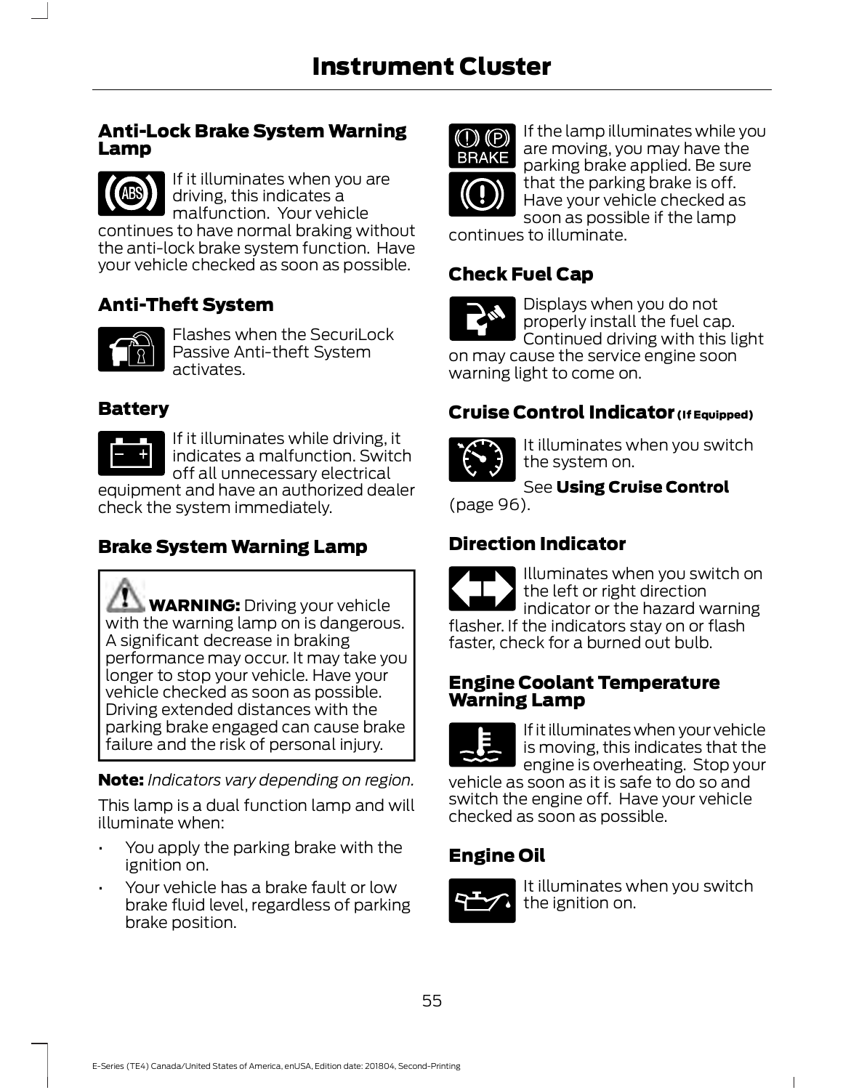#### **Anti-Lock Brake System Warning** Lamp



If it illuminates when you are driving, this indicates a malfunction. Your vehicle

continues to have normal braking without the anti-lock brake system function. Have your vehicle checked as soon as possible.

# Anti-Theft System



**E1448** activates. Flashes when the SecuriLock Passive Anti-theft System

#### Battery



If it illuminates while driving, it indicates a malfunction. Switch off all unnecessary electrical

equipment and have an authorized dealer check the system immediately.

# Brake System Warning Lamp

**WARNING:** Driving your vehicle with the warning lamp on is dangerous. A significant decrease in braking performance may occur. It may take you longer to stop your vehicle. Have your vehicle checked as soon as possible. Driving extended distances with the parking brake engaged can cause brake failure and the risk of personal injury.

**Note:** Indicators vary depending on region.

This lamp is a dual function lamp and will illuminate when:

- You apply the parking brake with the ignition on.
- Your vehicle has a brake fault or low brake fluid level, regardless of parking brake position.



**ELIANE** parking brake applied. Be sure If the lamp illuminates while you are moving, you may have the that the parking brake is off. Have your vehicle checked as soon as possible if the lamp

continues to illuminate.

# Check Fuel Cap



Displays when you do not properly install the fuel cap. Continued driving with this light

on may cause the service engine soon warning light to come on.

# Cruise Control Indicator (If Equipped)



It illuminates when you switch the system on.

See Using Cruise Control

(page 96).

# Direction Indicator



#### Engine Coolant Temperature Warning Lamp



If it illuminates when your vehicle is moving, this indicates that the engine is overheating. Stop your

vehicle as soon as it is safe to do so and switch the engine off. Have your vehicle checked as soon as possible.

# Engine Oil



It illuminates when you switch the ignition on.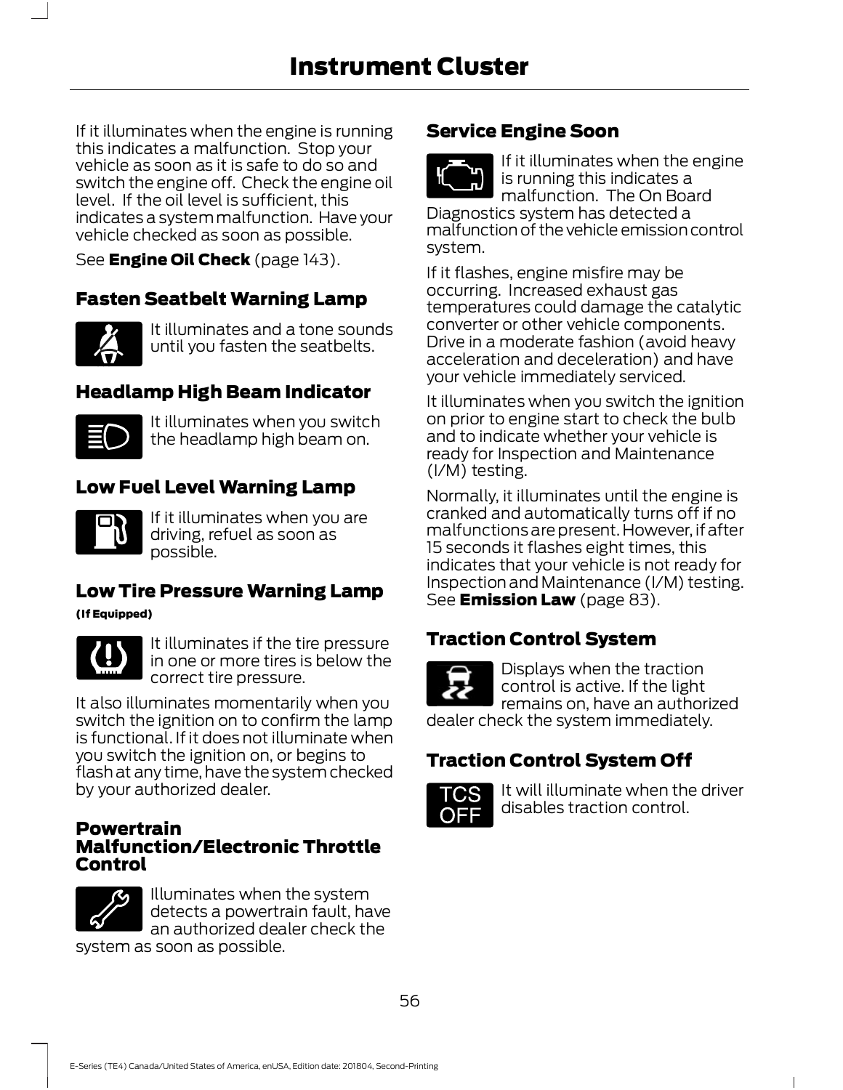If it illuminates when the engine is running this indicates a malfunction. Stop your vehicle as soon as it is safe to do so and switch the engine off. Check the engine oil  $\mathbb{R}$ level. If the oil level is sufficient, this indicates a system malfunction. Have your vehicle checked as soon as possible.

See **Engine Oil Check** (page 143).

# Fasten Seatbelt Warning Lamp



It illuminates and a tone sounds until you fasten the seatbelts.

# Headlamp High Beam Indicator



It illuminates when you switch the headlamp high beam on.

# Low Fuel Level Warning Lamp



If it illuminates when you are driving, refuel as soon as possible.

# Low Tire Pressure Warning Lamp

(If Equipped)



It illuminates if the tire pressure in one or more tires is below the correct tire pressure.

It also illuminates momentarily when you switch the ignition on to confirm the lamp is functional. If it does not illuminate when you switch the ignition on, or begins to flash at any time, have the system checked by your authorized dealer.

#### Powertrain Malfunction/Electronic Throttle Control



Illuminates when the system detects a powertrain fault, have an authorized dealer check the

system as soon as possible.

# Service Engine Soon



If it illuminates when the engine is running this indicates a malfunction. The On Board

Diagnostics system has detected a malfunction of the vehicle emission control system.

If it flashes, engine misfire may be occurring. Increased exhaust gas temperatures could damage the catalytic converter or other vehicle components. Drive in a moderate fashion (avoid heavy acceleration and deceleration) and have your vehicle immediately serviced.

It illuminates when you switch the ignition on prior to engine start to check the bulb and to indicate whether your vehicle is ready for Inspection and Maintenance (I/M) testing.

Normally, it illuminates until the engine is cranked and automatically turns off if no malfunctions are present. However, if after 15 seconds it flashes eight times, this indicates that your vehicle is not ready for Inspection and Maintenance (I/M) testing. See **Emission Law** (page 83).

# Traction Control System



**E1386** remains on, have an authorized Displays when the traction control is active. If the light dealer check the system immediately.

# Traction Control System Off



 $\blacksquare$ It will illuminate when the driver disables traction control.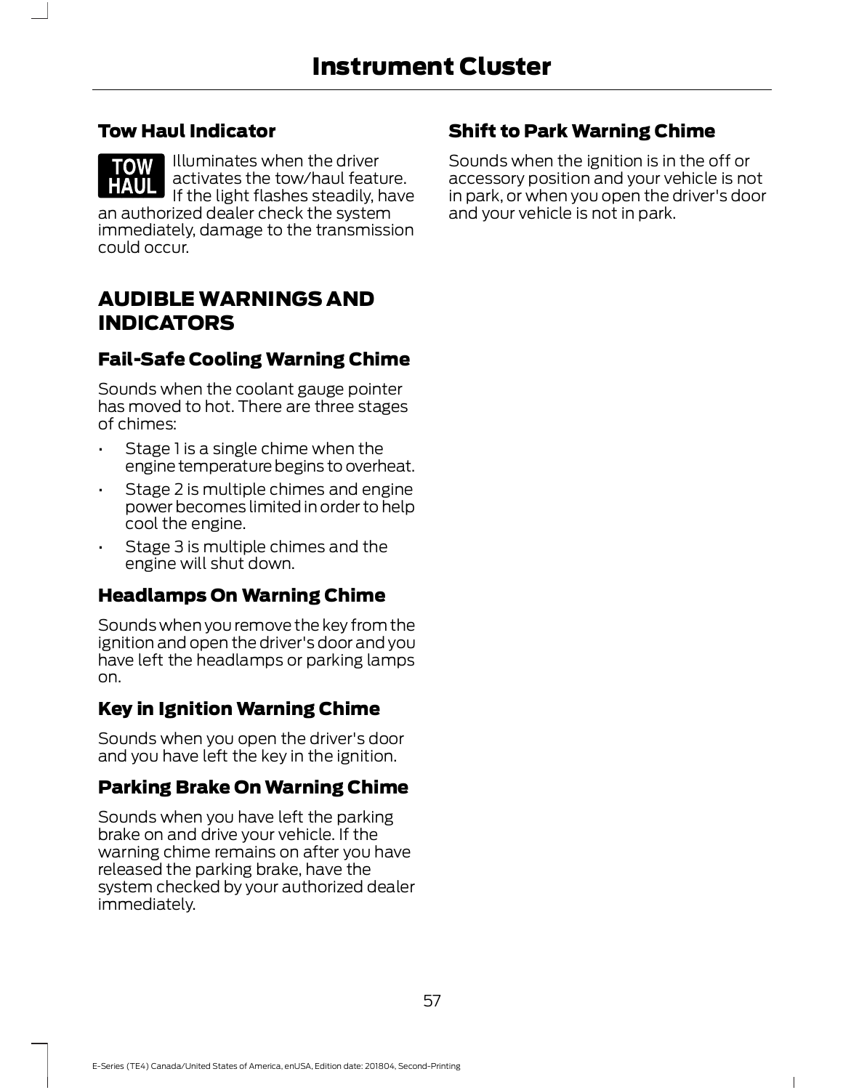#### Tow Haul Indicator

Illuminates when the driver **TOW** activates the tow/haul feature. IF the light flashes steadily, have in park, or when you ope an authorized dealer check the system immediately, damage to the transmission could occur.

# AUDIBLE WARNINGS AND INDICATORS

# Fail-Safe Cooling Warning Chime

Sounds when the coolant gauge pointer has moved to hot. There are three stages of chimes:

- Stage 1 is a single chime when the engine temperature begins to overheat.
- Stage 2 is multiple chimes and engine power becomes limited in order to help cool the engine.
- Stage 3 is multiple chimes and the engine will shut down.

# Headlamps On Warning Chime

Sounds when you remove the key from the ignition and open the driver's door and you have left the headlamps or parking lamps on.

# Key in Ignition Warning Chime

Sounds when you open the driver's door and you have left the key in the ignition.

#### Parking Brake On Warning Chime

Sounds when you have left the parking brake on and drive your vehicle. If the warning chime remains on after you have released the parking brake, have the system checked by your authorized dealer immediately.

# Shift to Park Warning Chime

Sounds when the ignition is in the off or accessory position and your vehicle is not in park, or when you open the driver's door and your vehicle is not in park.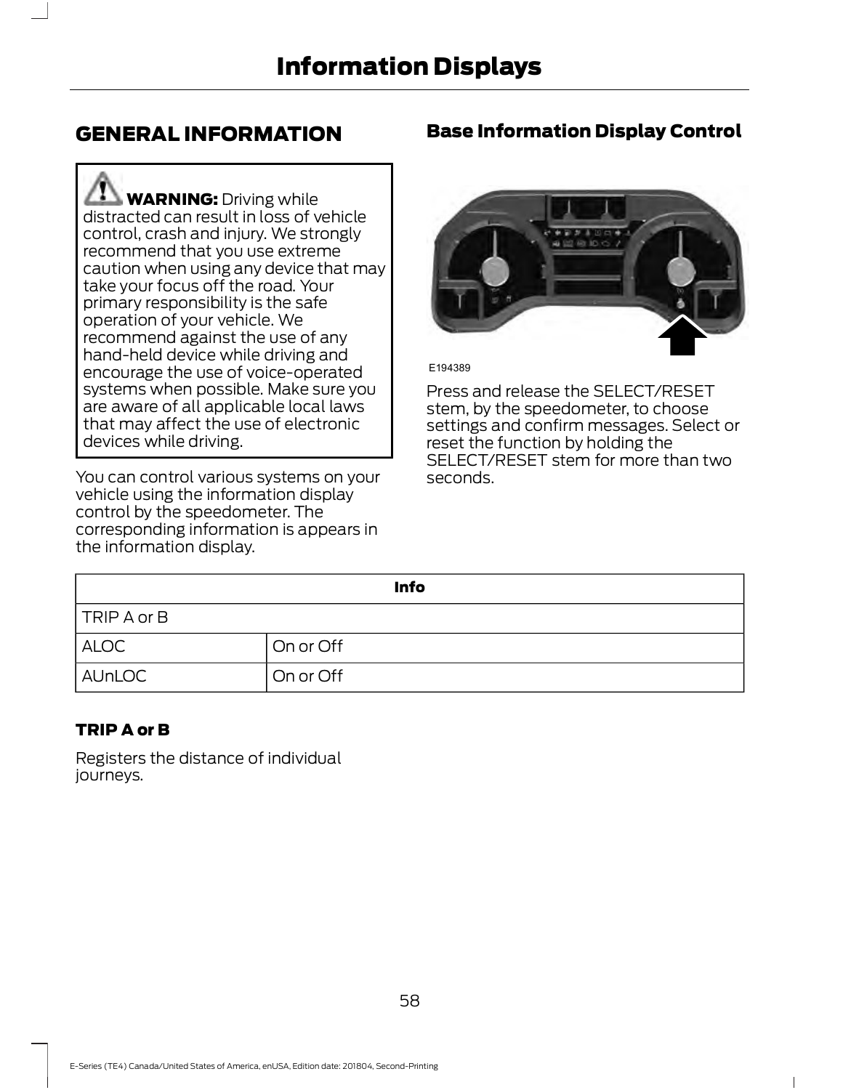# GENERAL INFORMATION

**WARNING:** Driving while distracted can result in loss of vehicle control, crash and injury. We strongly recommend that you use extreme caution when using any device that may take your focus off the road. Your primary responsibility is the safe operation of your vehicle. We recommend against the use of any hand-held device while driving and encourage the use of voice-operated systems when possible. Make sure you are aware of all applicable local laws that may affect the use of electronic devices while driving.

You can control various systems on your vehicle using the information display control by the speedometer. The corresponding information is appears in the information display.

# Base Information Display Control



E194389

Press and release the SELECT/RESET stem, by the speedometer, to choose settings and confirm messages. Select or reset the function by holding the SELECT/RESET stem for more than two seconds.

|               | <b>Info</b>            |
|---------------|------------------------|
| TRIP A or B   |                        |
| <b>ALOC</b>   | On or Off              |
| <b>AUnLOC</b> | <sup>I</sup> On or Off |

#### TRIP A or B

Registers the distance of individual journeys.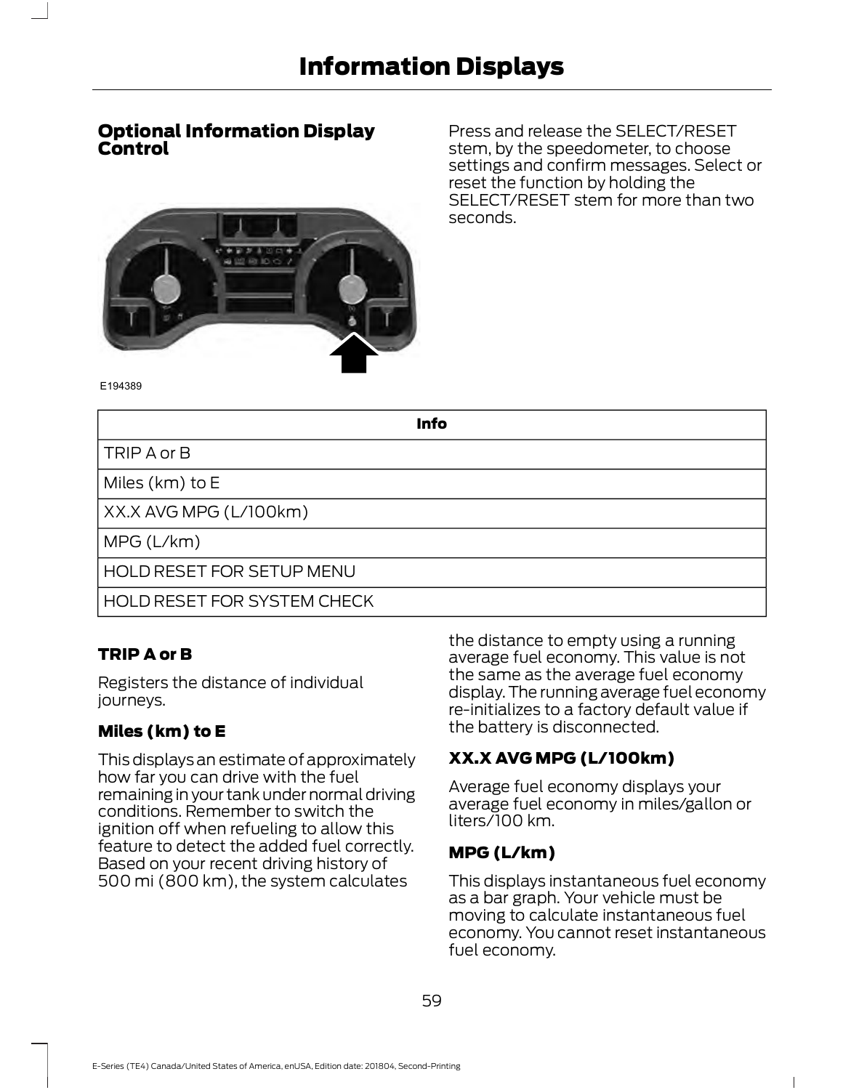#### Optional Information Display Control

Press and release the SELECT/RESET stem, by the speedometer, to choose settings and confirm messages. Select or reset the function by holding the SELECT/RESET stem for more than two seconds.



Info

TRIP A or B

Miles (km) to E

XX.X AVG MPG (L/100km)

MPG (L/km)

HOLD RESET FOR SETUP MENU

HOLD RESET FOR SYSTEM CHECK

#### TRIP A or B

Registers the distance of individual journeys.

#### Miles (km) to E

This displays an estimate of approximately how far you can drive with the fuel remaining in your tank under normal driving conditions. Remember to switch the ignition off when refueling to allow this feature to detect the added fuel correctly. Based on your recent driving history of 500 mi (800 km), the system calculates

the distance to empty using a running average fuel economy. This value is not the same as the average fuel economy display. The running average fuel economy re-initializes to a factory default value if the battery is disconnected.

#### XX.X AVG MPG (L/100km)

Average fuel economy displays your average fuel economy in miles/gallon or liters/100 km.

#### MPG (L/km)

This displays instantaneous fuel economy as a bar graph. Your vehicle must be moving to calculate instantaneous fuel economy. You cannot reset instantaneous fuel economy.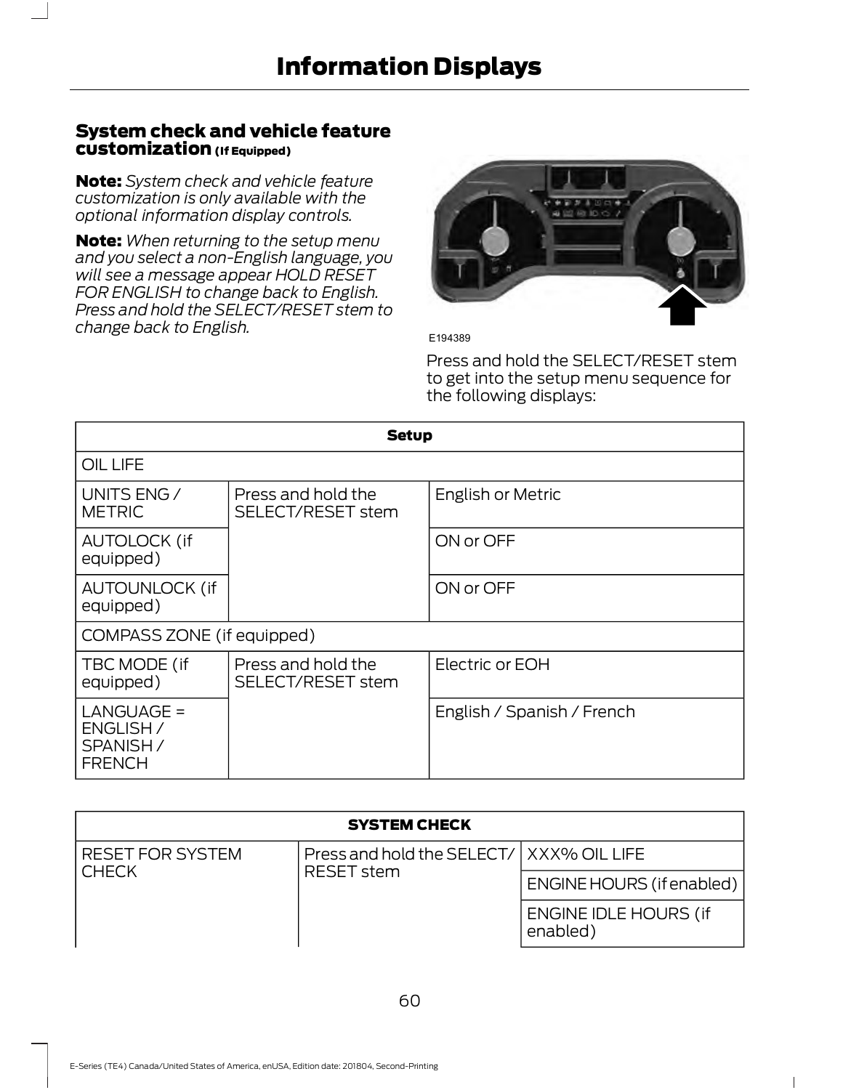#### System check and vehicle feature customization (If Equipped)

Note: System check and vehicle feature customization is only available with the optional information display controls.

**Note:** When returning to the setup menu and you select a non-English language, you will see a message appear HOLD RESET FOR ENGLISH to change back to English. Press and hold the SELECT/RESET stem to change back to English.<br>
E194389



Press and hold the SELECT/RESET stem to get into the setup menu sequence for the following displays:

|                                                       | <b>Setup</b>                            |                            |
|-------------------------------------------------------|-----------------------------------------|----------------------------|
| OIL LIFE                                              |                                         |                            |
| UNITS ENG /<br><b>METRIC</b>                          | Press and hold the<br>SELECT/RESET stem | English or Metric          |
| <b>AUTOLOCK (if</b><br>equipped)                      |                                         | ON or OFF                  |
| <b>AUTOUNLOCK (if</b><br>equipped)                    |                                         | ON or OFF                  |
| COMPASS ZONE (if equipped)                            |                                         |                            |
| TBC MODE (if<br>equipped)                             | Press and hold the<br>SELECT/RESET stem | Electric or EOH            |
| LANGUAGE =<br>ENGLISH /<br>SPANISH /<br><b>FRENCH</b> |                                         | English / Spanish / French |

| <b>SYSTEM CHECK</b>               |                                          |                                          |
|-----------------------------------|------------------------------------------|------------------------------------------|
| <b>RESET FOR SYSTEM</b>           | Press and hold the SELECT/ XXX% OIL LIFE |                                          |
| <b>CHECK</b><br><b>RESET</b> stem | <b>ENGINE HOURS (if enabled)</b>         |                                          |
|                                   |                                          | <b>ENGINE IDLE HOURS (if</b><br>enabled) |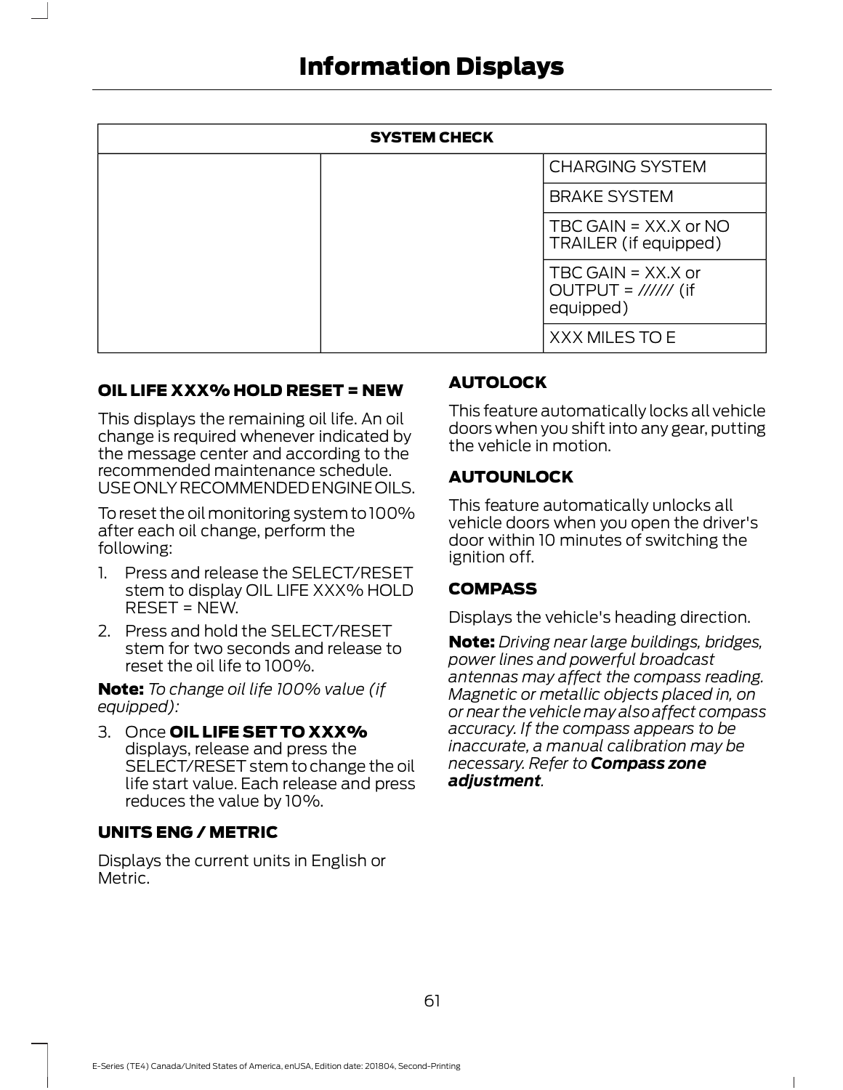| SYSTEM CHECK                                                                             |                                                                                                                         |
|------------------------------------------------------------------------------------------|-------------------------------------------------------------------------------------------------------------------------|
|                                                                                          | <b>CHARGING SYSTEM</b>                                                                                                  |
|                                                                                          | <b>BRAKE SYSTEM</b>                                                                                                     |
|                                                                                          | TBC GAIN = XX.X or NO<br>TRAILER (if equipped)                                                                          |
|                                                                                          | TBC GAIN = $XXX.X$ or<br>OUTPUT = $\frac{1}{1}$ (if<br>equipped)                                                        |
|                                                                                          | XXX MILES TO E                                                                                                          |
| OIL LIFE XXX% HOLD RESET = NEW                                                           | <b>AUTOLOCK</b>                                                                                                         |
| This displays the remaining oil life. An oil<br>change is required whenever indicated by | This feature automatically locks all vehicle<br>doors when you shift into any gear, putting<br>$+$ ho vobiclo in motion |

This displays the remaining oil life. An oil change is required whenever indicated by the message center and according to the recommended maintenance schedule. USE ONLY RECOMMENDED ENGINE OILS. This displays the remaining oil life. An oil<br>
the message center and according to the<br>
recommended maintenance schedule.<br>
USE ONLY RECOMMENDED ENGINE OILS.<br>
To reset the oil monitoring system to 100%<br>
This feature automati

To reset the oil monitoring system to 100% after each oil change, perform the following:

- stem to display OIL LIFE XXX% HOLD RESET = NEW.
- 2. Press and hold the SELECT/RESET stem for two seconds and release to reset the oil life to 100%.

Note: To change oil life 100% value (if equipped):

3. Once OIL LIFE SET TO XXX% displays, release and press the SELECT/RESET stem to change the oil life start value. Each release and press reduces the value by 10%.

#### UNITS ENG / METRIC

Displays the current units in English or Metric.

#### AUTOLOCK

This feature automatically locks all vehicle doors when you shift into any gear, putting the vehicle in motion.

#### AUTOUNLOCK

This feature automatically unlocks all vehicle doors when you open the driver's door within 10 minutes of switching the ignition off.

#### COMPASS

Displays the vehicle's heading direction.

Note: Driving near large buildings, bridges, power lines and powerful broadcast antennas may affect the compass reading. Magnetic or metallic objects placed in, on or near the vehicle may also affect compass accuracy. If the compass appears to be inaccurate, a manual calibration may be necessary. Refer to **Compass zone** adjustment.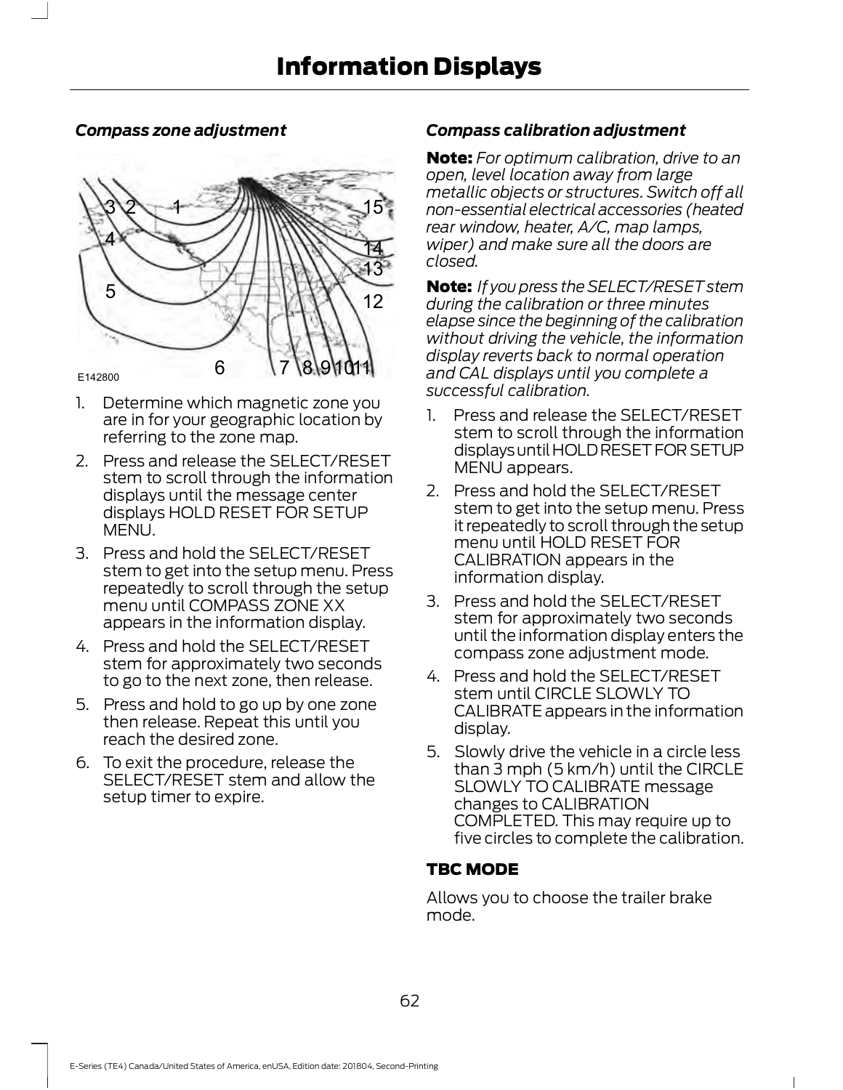#### Compass zone adjustment



- referring to the zone map.
- stem to scroll through the information displays until the message center displays HOLD RESET FOR SETUP MENU.
- 3. Press and hold the SELECT/RESET stem to get into the setup menu. Press repeatedly to scroll through the setup menu until COMPASS ZONE XX appears in the information display.
- 4. Press and hold the SELECT/RESET stem for approximately two seconds to go to the next zone, then release.
- 5. Press and hold to go up by one zone then release. Repeat this until you reach the desired zone.
- 6.To exit the procedure, release the SELECT/RESET stem and allow the setup timer to expire.

#### Compass calibration adjustment

 $13<sup>2</sup>$  crosed. 14 wiper) and make sure all the doors are<br>elecced 15 non-essential electrical accessories (heated Note: For optimum calibration, drive to an open, level location away from large metallic objects or structures. Switch off all rear window, heater, A/C, map lamps, closed.

12 during the calibration or three minutes **Note:** If you press the SELECT/RESET stem elapse since the beginning of the calibration without driving the vehicle, the information display reverts back to normal operation and CAL displays until you complete a successful calibration. wiper) and make sure all the doors are<br>closed.<br>**Note:** If you press the SELECT/RESET stem<br>during the calibration or three minutes<br>elapse since the beginning of the calibration<br>without driving the vehicle, the information<br>d

- are in for your geographic location by and Press and release the SELECT/RESET stem to scroll through the information displays until HOLD RESET FOR SETUP MENU appears.
	- 2. Press and hold the SELECT/RESET stem to get into the setup menu. Press it repeatedly to scroll through the setup menu until HOLD RESET FOR CALIBRATION appears in the information display.
	- 3. Press and hold the SELECT/RESET stem for approximately two seconds until the information display enters the compass zone adjustment mode.
	- 4.Press and hold the SELECT/RESET stem until CIRCLE SLOWLY TO CALIBRATE appears in the information display.
	- 5. Slowly drive the vehicle in a circle less than 3 mph (5 km/h) until the CIRCLE SLOWLY TO CALIBRATE message changes to CALIBRATION COMPLETED. This may require up to five circles to complete the calibration.

#### TBC MODE

Allows you to choose the trailer brake mode.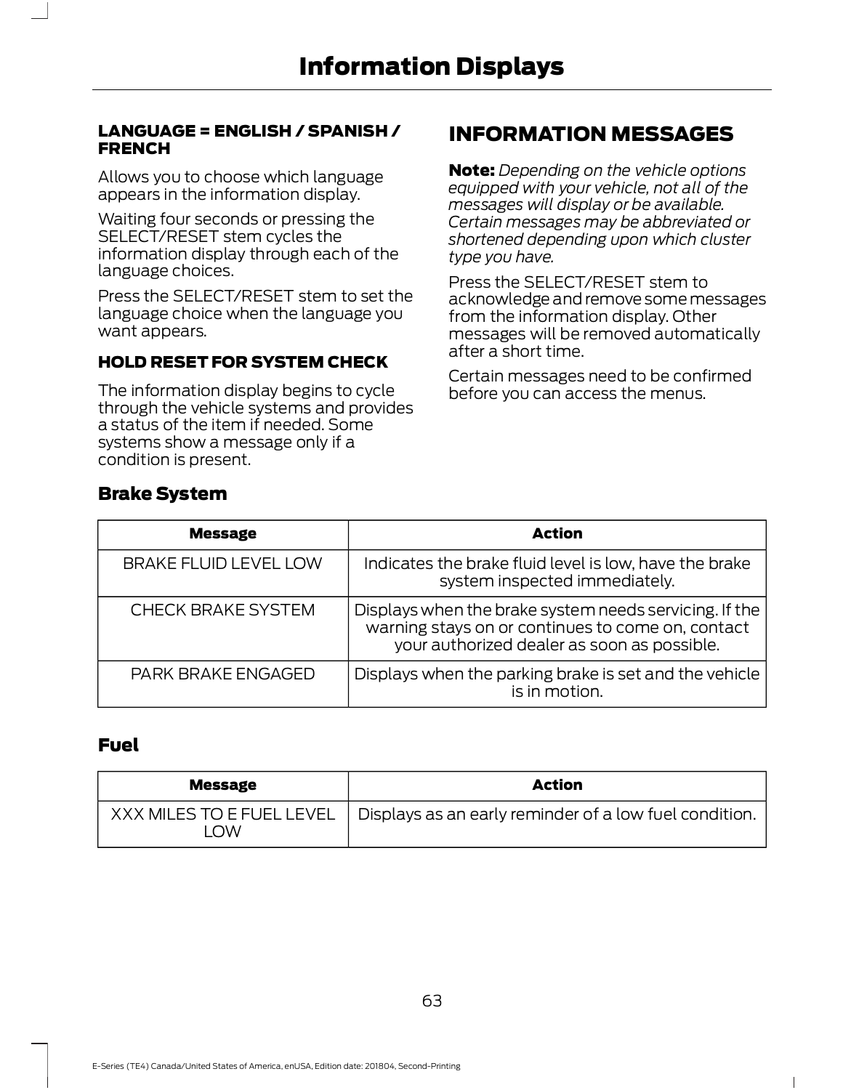#### LANGUAGE = ENGLISH / SPANISH / **FRENCH**

Allows you to choose which language appears in the information display.

Waiting four seconds or pressing the SELECT/RESET stem cycles the information display through each of the language choices.

Press the SELECT/RESET stem to set the language choice when the language you want appears.

#### HOLD RESET FOR SYSTEM CHECK

The information display begins to cycle through the vehicle systems and provides a status of the item if needed. Some systems show a message only if a condition is present.

# INFORMATION MESSAGES

**Note:** Depending on the vehicle options equipped with your vehicle, not all of the messages will display or be available. Certain messages may be abbreviated or shortened depending upon which cluster type you have.

Press the SELECT/RESET stem to acknowledge and remove some messages from the information display. Other messages will be removed automatically after a short time.

Certain messages need to be confirmed before you can access the menus.

| <b>Message</b>               | <b>Action</b>                                                                                                                                              |
|------------------------------|------------------------------------------------------------------------------------------------------------------------------------------------------------|
| <b>BRAKE FLUID LEVEL LOW</b> | Indicates the brake fluid level is low, have the brake<br>system inspected immediately.                                                                    |
| <b>CHECK BRAKE SYSTEM</b>    | Displays when the brake system needs servicing. If the<br>warning stays on or continues to come on, contact<br>your authorized dealer as soon as possible. |
| <b>PARK BRAKE ENGAGED</b>    | Displays when the parking brake is set and the vehicle<br>is in motion.                                                                                    |

#### Fuel

Brake System

| <b>Message</b>                  | <b>Action</b>                                          |
|---------------------------------|--------------------------------------------------------|
| XXX MILES TO E FUEL LEVEL<br>OW | Displays as an early reminder of a low fuel condition. |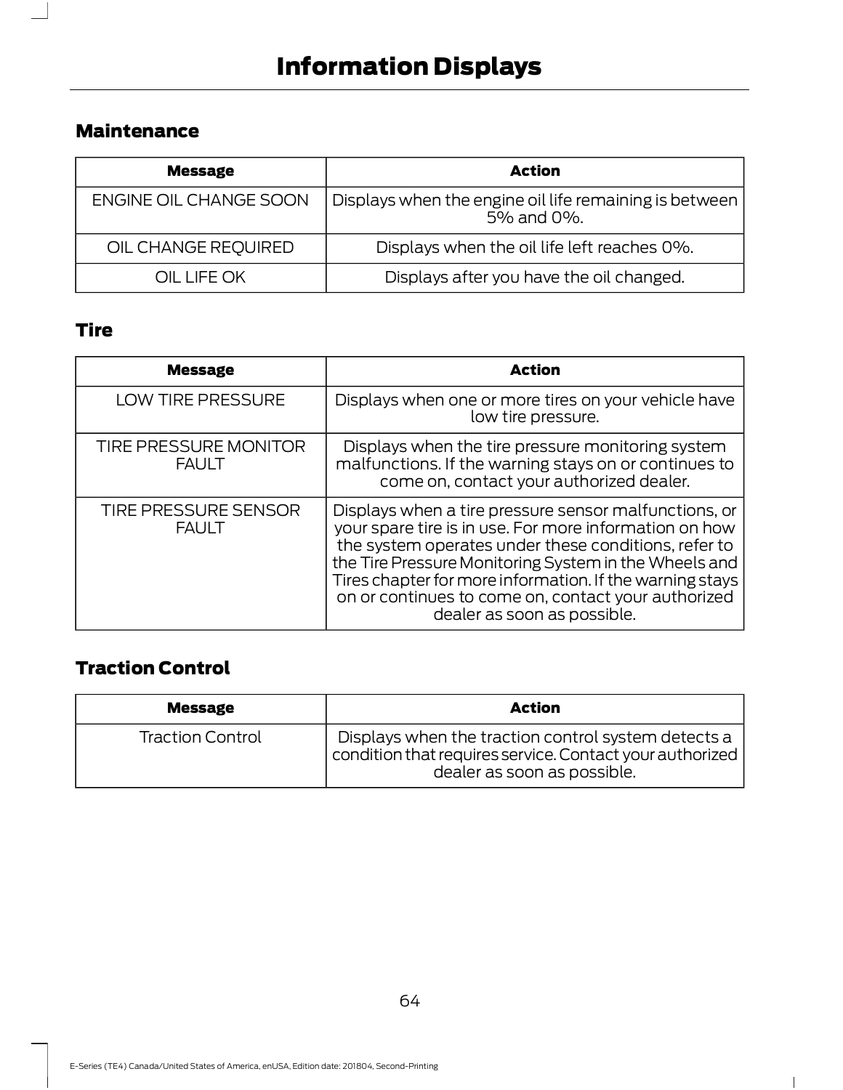# Maintenance

| <b>Message</b>         | <b>Action</b>                                                        |
|------------------------|----------------------------------------------------------------------|
| ENGINE OIL CHANGE SOON | Displays when the engine oil life remaining is between<br>5% and 0%. |
| OIL CHANGE REQUIRED    | Displays when the oil life left reaches 0%.                          |
| OIL LIFE OK            | Displays after you have the oil changed.                             |

# Tire

 $\overline{\phantom{a}}$ 

| <b>Message</b>                               | <b>Action</b>                                                                                                                                                                                                                                                                                                                                                                      |
|----------------------------------------------|------------------------------------------------------------------------------------------------------------------------------------------------------------------------------------------------------------------------------------------------------------------------------------------------------------------------------------------------------------------------------------|
| LOW TIRE PRESSURE                            | Displays when one or more tires on your vehicle have<br>low tire pressure.                                                                                                                                                                                                                                                                                                         |
| <b>TIRE PRESSURE MONITOR</b><br><b>FAULT</b> | Displays when the tire pressure monitoring system<br>malfunctions. If the warning stays on or continues to<br>come on, contact your authorized dealer.                                                                                                                                                                                                                             |
| <b>TIRE PRESSURE SENSOR</b><br><b>FAULT</b>  | Displays when a tire pressure sensor malfunctions, or<br>your spare tire is in use. For more information on how<br>the system operates under these conditions, refer to<br>the Tire Pressure Monitoring System in the Wheels and<br>Tires chapter for more information. If the warning stays<br>on or continues to come on, contact your authorized<br>dealer as soon as possible. |

# Traction Control

| <b>Message</b>          | <b>Action</b>                                                                                                                                  |
|-------------------------|------------------------------------------------------------------------------------------------------------------------------------------------|
| <b>Traction Control</b> | Displays when the traction control system detects a<br>condition that requires service. Contact your authorized<br>dealer as soon as possible. |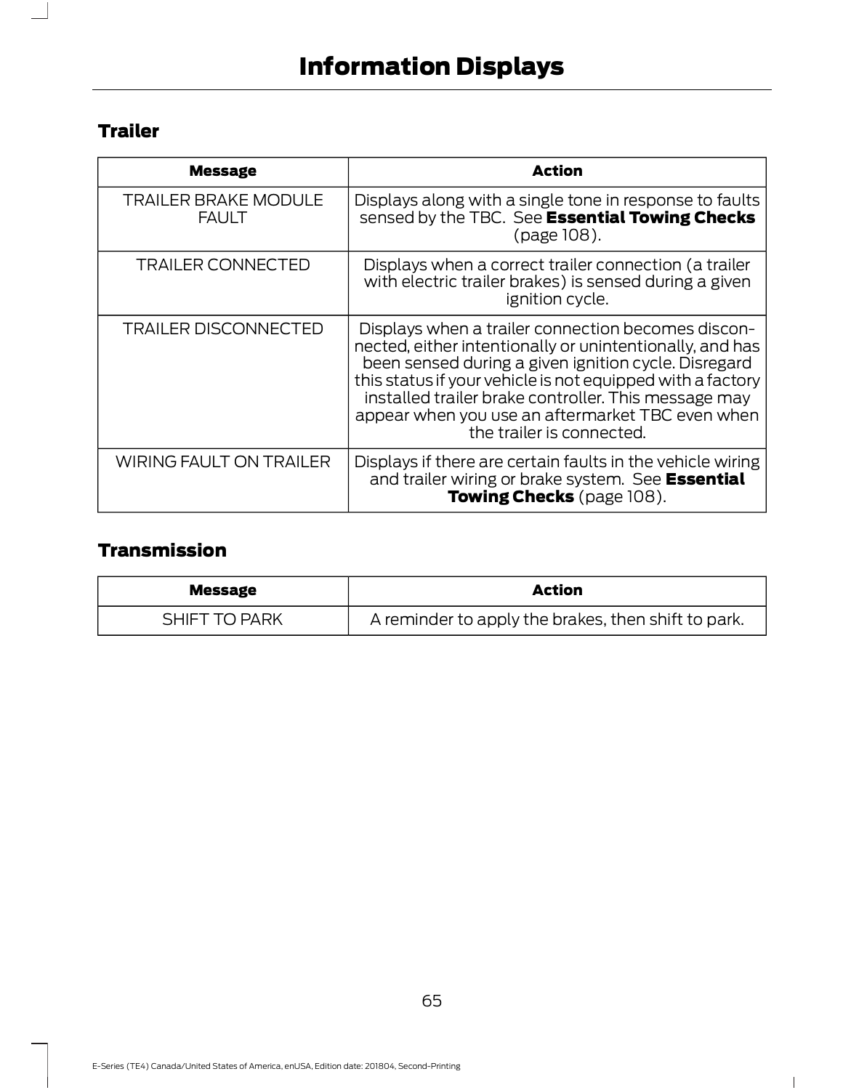# **Trailer**

| <b>Message</b>                              | <b>Action</b>                                                                                                                                                                                                                                                                                                                                                                 |
|---------------------------------------------|-------------------------------------------------------------------------------------------------------------------------------------------------------------------------------------------------------------------------------------------------------------------------------------------------------------------------------------------------------------------------------|
| <b>TRAILER BRAKE MODULE</b><br><b>FAULT</b> | Displays along with a single tone in response to faults<br>sensed by the TBC. See Essential Towing Checks<br>(page 108).                                                                                                                                                                                                                                                      |
| <b>TRAILER CONNECTED</b>                    | Displays when a correct trailer connection (a trailer<br>with electric trailer brakes) is sensed during a given<br>ignition cycle.                                                                                                                                                                                                                                            |
| <b>TRAILER DISCONNECTED</b>                 | Displays when a trailer connection becomes discon-<br>nected, either intentionally or unintentionally, and has<br>been sensed during a given ignition cycle. Disregard<br>this status if your vehicle is not equipped with a factory<br>installed trailer brake controller. This message may<br>appear when you use an aftermarket TBC even when<br>the trailer is connected. |
| <b>WIRING FAULT ON TRAILER</b>              | Displays if there are certain faults in the vehicle wiring<br>and trailer wiring or brake system. See Essential<br>Towing Checks (page 108).                                                                                                                                                                                                                                  |

# Transmission

| <b>Message</b> | <b>Action</b>                                       |
|----------------|-----------------------------------------------------|
| PARK<br>SHIF.  | A reminder to apply the brakes, then shift to park. |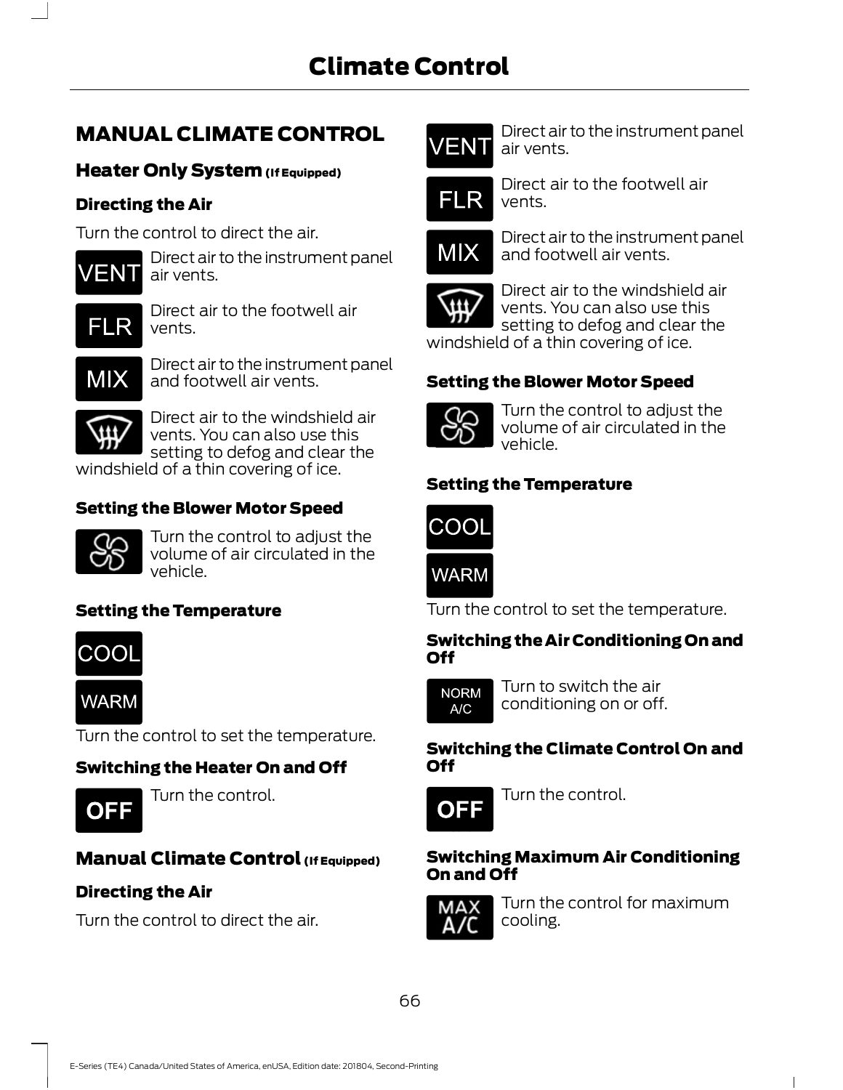# MANUAL CLIMATE CONTROL

#### Heater Only System (If Equipped)

#### Directing the Air

Turn the control to direct the air.



Direct air to the instrument panel MIX air vents.

E266043 Direct air to the footwell air vents.



E266042 Direct air to the instrument panel and footwell air vents.



Direct air to the windshield air **CO** vents. You can also use this setting to defog and clear the

windshield of a thin covering of ice.

#### Setting the Blower Motor Speed



Turn the control to adjust the **COOL** volume of air circulated in the vehicle.

#### Setting the Temperature

COOL

**WARM** 

E266046 Turn the control to set the temperature.

E266045

# Switching the Heater On and Off



Turn the control.<br> **OFF** 

# **Manual Climate Control (If Equipped)**

# Directing the Air

Turn the control to direct the air.



E266044 Direct air to the instrument panel air vents.



Direct air to the footwell air vents.



Direct air to the instrument panel and footwell air vents.



Direct air to the windshield air vents. You can also use this setting to defog and clear the windshield of a thin covering of ice.

# Setting the Blower Motor Speed



Turn the control to adjust the volume of air circulated in the vehicle.

# Setting the Temperature



E266046 Turn the control to set the temperature.

#### Switching the Air Conditioning On and Off



E266041 Turn to switch the air conditioning on or off.

#### Switching the Climate Control On and Off



Turn the control.

#### Switching Maximum Air Conditioning On and Off



Turn the control for maximum cooling.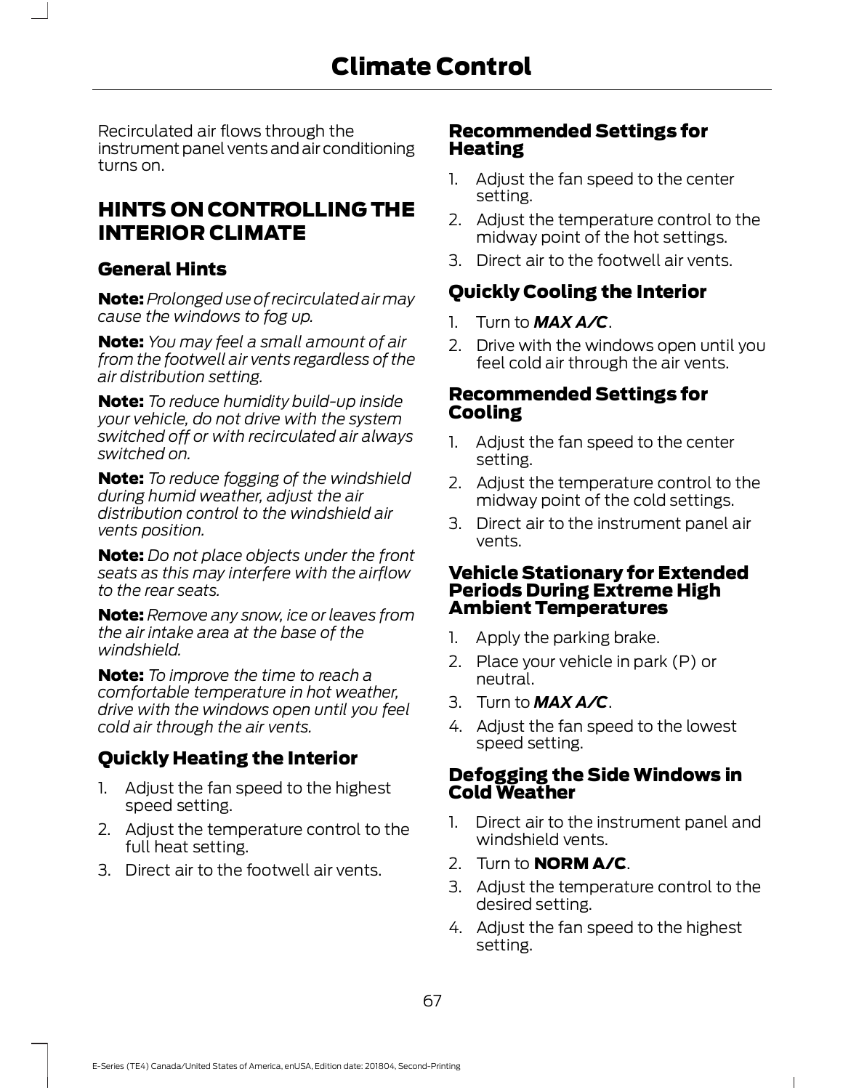Recirculated air flows through the instrument panel vents and air conditioning turns on.

# **HINTS ON CONTROLLING THE** 2. Adjust the temperature control to the INTERIOR CLIMATE

#### General Hints

**Note:** Prolonged use of recirculated air may cause the windows to fog up.  $\begin{bmatrix} 1 & 1 \\ 1 & 1 \end{bmatrix}$  Turn to **MAX A/C**.

**Note:** You may feel a small amount of air 2. Drive with the windows open until you from the footwell air vents regardless of the air distribution setting.

**Note:** To reduce humidity build-up inside your vehicle, do not drive with the system switched off or with recirculated air always and algust the fan speed to the center switched on.

Note: To reduce fogging of the windshield 2. Adjust the temperature control to the during humid weather, adjust the air distribution control to the windshield air vents position.

**Note:** Do not place objects under the front seats as this may interfere with the airflow to the rear seats.

**Note:** Remove any snow, ice or leaves from the air intake area at the base of the same and apply the parking brake. windshield.

comfortable temperature in hot weather, drive with the windows open until you feel cold air through the air vents. **Note:** Remove any snow, ice or leaves from<br>
the air intake area at the base of the<br>
windshield.<br> **Note:** To improve the time to reach a<br>
comfortable temperature in hot weather,<br>
drive with the windows open until you feel

# Quickly Heating the Interior

- speed setting.
- full heat setting.<br>Direct air to the fecturell air vents and the controll at the setting and the set of the fecturell air vents o
- 3.Direct air to the footwell air vents.

# Recommended Settings for Heating **:Ontrol<br>Recommended Settings for<br>Heating<br>1. Adjust the fan speed to the center<br>setting.<br>2. Adjust the temperature control to the**

- setting.
- **2. Control<br>
2. Adjust the fan speed to the center<br>
2. Adjust the temperature control to the<br>
2. Adjust the temperature control to the<br>
midway point of the hot settings.<br>
2. Direct air to the footwell air vents** midway point of the hot settings. **Heating**<br>
1. Adjust the fan speed to the center<br>
setting.<br>
2. Adjust the temperature control to the<br>
midway point of the hot settings.<br>
3. Direct air to the footwell air vents.<br> **Quickly Cooling the Interior**<br>
1. Turn to 1. Adjust the fan speed to the center<br>setting.<br>2. Adjust the temperature control to the<br>midway point of the hot settings.<br>3. Direct air to the footwell air vents.<br>**Quickly Cooling the Interior**<br>1. Turn to **MAX A/C**.<br>2. Dri
- 3.Direct air to the footwell air vents.

# Quickly Cooling the Interior

- 
- feel cold air through the air vents. **Quickly Cooling the Interior<br>
1.** Turn to  $MAX A/C$ .<br>
2. Drive with the windows open until you<br>
feel cold air through the air vents.<br> **Recommended Settings for<br>
Cooling**<br>
1. Adjust the fan speed to the center<br>
setting.<br>
2. A 1. Turn to **MAX A/C**.<br>
2. Drive with the windows open until you<br>
feel cold air through the air vents.<br> **Recommended Settings for<br>
Cooling**<br>
1. Adjust the fan speed to the center<br>
setting.<br>
2. Adjust the temperature control

#### Recommended Settings for Cooling

- setting.
- midway point of the cold settings.
- 3.Direct air to the instrument panel air vents.

# Vehicle Stationary for Extended Periods During Extreme High Ambient Temperatures Setting.<br>
2. Adjust the temperature control to the<br>
midway point of the cold settings.<br>
3. Direct air to the instrument panel air<br>
vents.<br> **Vehicle Stationary for Extended<br>
Periods During Extreme High<br>
Ambient Temperatures** 2. Adjost the temperature control to the<br>midway point of the cold settings.<br>3. Direct air to the instrument panel air<br>veh**icle Stationary for Extended<br>Periods During Extreme High<br>Ambient Temperatures**<br>1. Apply the parking

- 
- $\frac{1}{\sqrt{1-\frac{1}{2}}}\int_0^{\frac{1}{2}}$  Note: To improve the time to reach a set of the neutral neutral.
	- 3. Turn to  $MAX$   $A/C$ .
	- 4. Adjust the fan speed to the lowest speed setting.

#### Defogging the Side Windows in Cold Weather

- 2. Adjust the temperature control to the line of the instrument panel and 2. Place your vehicle in park (P) or<br>neutral.<br>3. Turn to **MAX A/C**.<br>4. Adjust the fan speed to the lowest<br>speed setting.<br>**Defogging the Side Windows in**<br>**Cold Weather**<br>1. Direct air to the instrument panel and<br>windshield v windshield vents. 3. Turn to **MAX A/C**.<br>
4. Adjust the fan speed to the lowest<br>
speed setting.<br> **Defogging the Side Windows in<br>
Cold Weather**<br>
1. Direct air to the instrument panel and<br>
windshield vents.<br>
2. Turn to **NORM A/C**.<br>
3. Adjust t
	-
	- 3. Adjust the temperature control to the desired setting.
	- 4. Adjust the fan speed to the highest setting.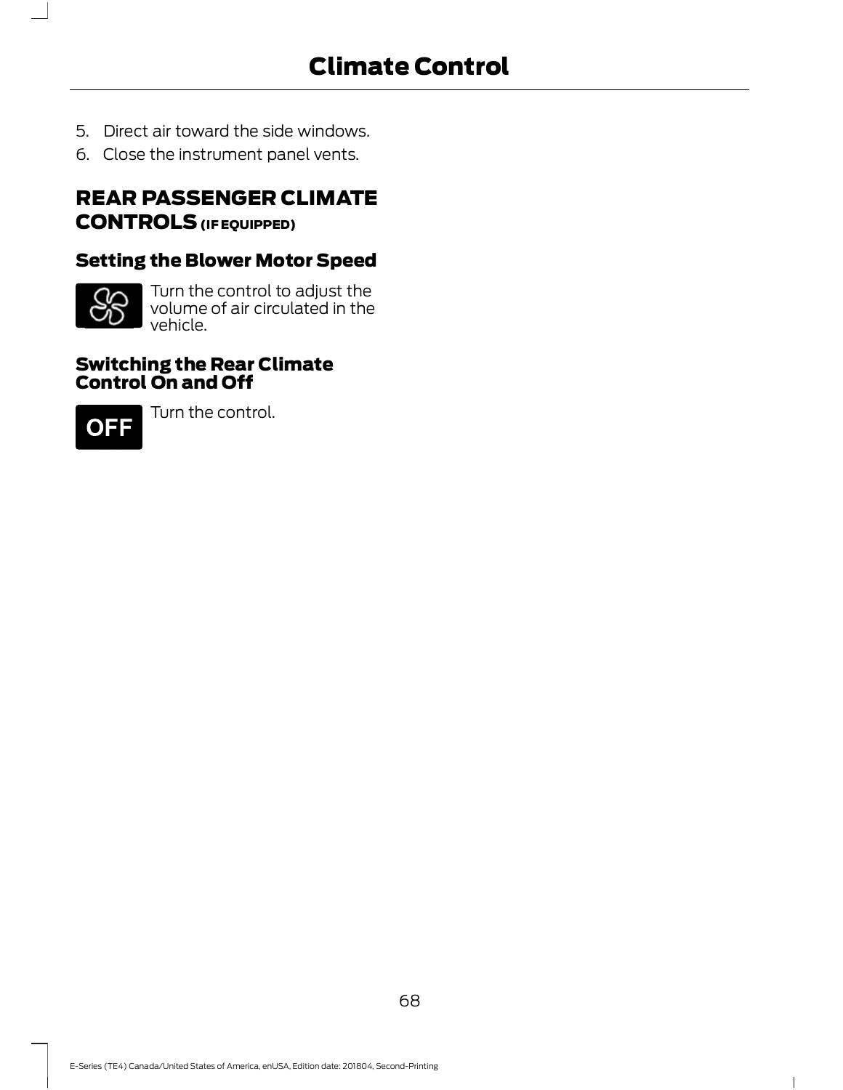- 5. Direct air toward the side windows.
- 6. Close the instrument panel vents.

# REAR PASSENGER CLIMATE CONTROLS (IF EQUIPPED)

# Setting the Blower Motor Speed



Turn the control to adjust the volume of air circulated in the vehicle.

#### Switching the Rear Climate Control On and Off



Turn the control.